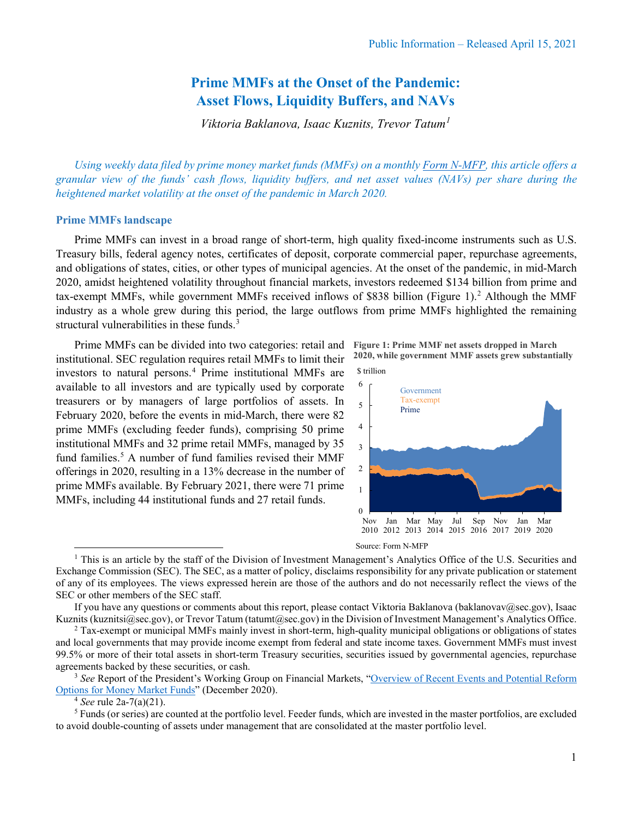# **Prime MMFs at the Onset of the Pandemic: Asset Flows, Liquidity Buffers, and NAVs**

*Viktoria Baklanova, Isaac Kuznits, Trevor Tatum[1](#page-0-0)*

*Using weekly data filed by prime money market funds (MMFs) on a monthly [Form N-MFP,](https://www.sec.gov/files/formn-mfp.pdf) this article offers a granular view of the funds' cash flows, liquidity buffers, and net asset values (NAVs) per share during the heightened market volatility at the onset of the pandemic in March 2020.* 

#### **Prime MMFs landscape**

Prime MMFs can invest in a broad range of short-term, high quality fixed-income instruments such as U.S. Treasury bills, federal agency notes, certificates of deposit, corporate commercial paper, repurchase agreements, and obligations of states, cities, or other types of municipal agencies. At the onset of the pandemic, in mid-March 2020, amidst heightened volatility throughout financial markets, investors redeemed \$134 billion from prime and tax-exempt MMFs, while government MMFs received inflows of \$838 billion (Figure 1). [2](#page-0-1) Although the MMF industry as a whole grew during this period, the large outflows from prime MMFs highlighted the remaining structural vulnerabilities in these funds.<sup>3</sup>

Prime MMFs can be divided into two categories: retail and institutional. SEC regulation requires retail MMFs to limit their investors to natural persons. [4](#page-0-3) Prime institutional MMFs are available to all investors and are typically used by corporate treasurers or by managers of large portfolios of assets. In February 2020, before the events in mid-March, there were 82 prime MMFs (excluding feeder funds), comprising 50 prime institutional MMFs and 32 prime retail MMFs, managed by 35 fund families. [5](#page-0-4) A number of fund families revised their MMF offerings in 2020, resulting in a 13% decrease in the number of prime MMFs available. By February 2021, there were 71 prime MMFs, including 44 institutional funds and 27 retail funds.

**Figure 1: Prime MMF net assets dropped in March 2020, while government MMF assets grew substantially** \$ trillion





<span id="page-0-0"></span> $<sup>1</sup>$  This is an article by the staff of the Division of Investment Management's Analytics Office of the U.S. Securities and</sup> Exchange Commission (SEC). The SEC, as a matter of policy, disclaims responsibility for any private publication or statement of any of its employees. The views expressed herein are those of the authors and do not necessarily reflect the views of the SEC or other members of the SEC staff.

If you have any questions or comments about this report, please contact Viktoria Baklanova (baklanovav@sec.gov), Isaac Kuznits (kuznitsi@sec.gov), or Trevor Tatum (tatumt@sec.gov) in the Division of Investment Management's Analytics Office.

<span id="page-0-1"></span><sup>2</sup> Tax-exempt or municipal MMFs mainly invest in short-term, high-quality municipal obligations or obligations of states and local governments that may provide income exempt from federal and state income taxes. Government MMFs must invest 99.5% or more of their total assets in short-term Treasury securities, securities issued by governmental agencies, repurchase agreements backed by these securities, or cash.

<span id="page-0-2"></span><sup>3</sup> *See* Report of the President's Working Group on Financial Markets, ["Overview of Recent Events and Potential Reform](https://home.treasury.gov/system/files/136/PWG-MMF-report-final-Dec-2020.pdf)  [Options for Money Market Funds"](https://home.treasury.gov/system/files/136/PWG-MMF-report-final-Dec-2020.pdf) (December 2020).

<sup>4</sup> *See* rule 2a-7(a)(21).

<span id="page-0-4"></span><span id="page-0-3"></span><sup>5</sup> Funds (or series) are counted at the portfolio level. Feeder funds, which are invested in the master portfolios, are excluded to avoid double-counting of assets under management that are consolidated at the master portfolio level.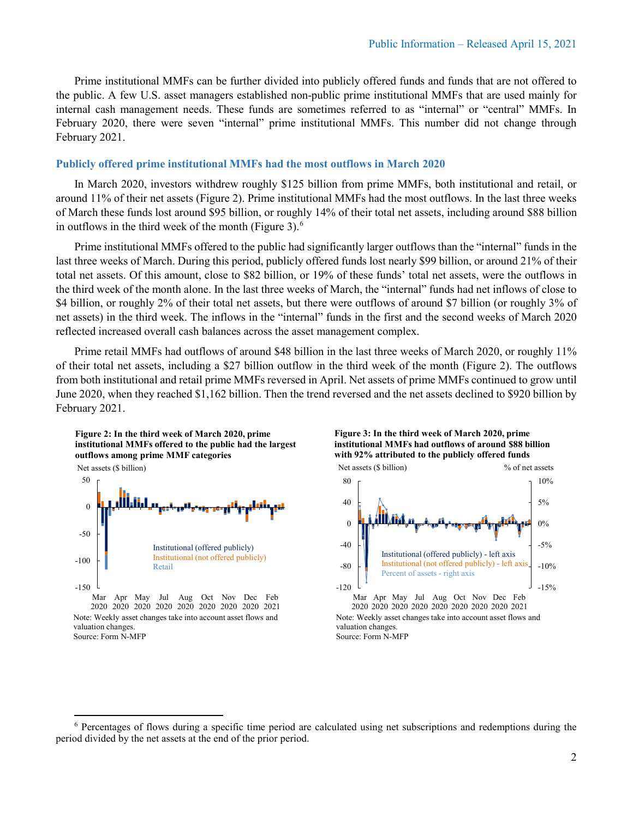Prime institutional MMFs can be further divided into publicly offered funds and funds that are not offered to the public. A few U.S. asset managers established non-public prime institutional MMFs that are used mainly for internal cash management needs. These funds are sometimes referred to as "internal" or "central" MMFs. In February 2020, there were seven "internal" prime institutional MMFs. This number did not change through February 2021.

## **Publicly offered prime institutional MMFs had the most outflows in March 2020**

In March 2020, investors withdrew roughly \$125 billion from prime MMFs, both institutional and retail, or around 11% of their net assets (Figure 2). Prime institutional MMFs had the most outflows. In the last three weeks of March these funds lost around \$95 billion, or roughly 14% of their total net assets, including around \$88 billion in outflows in the third week of the month (Figure 3). $<sup>6</sup>$  $<sup>6</sup>$  $<sup>6</sup>$ </sup>

Prime institutional MMFs offered to the public had significantly larger outflows than the "internal" funds in the last three weeks of March. During this period, publicly offered funds lost nearly \$99 billion, or around 21% of their total net assets. Of this amount, close to \$82 billion, or 19% of these funds' total net assets, were the outflows in the third week of the month alone. In the last three weeks of March, the "internal" funds had net inflows of close to \$4 billion, or roughly 2% of their total net assets, but there were outflows of around \$7 billion (or roughly 3% of net assets) in the third week. The inflows in the "internal" funds in the first and the second weeks of March 2020 reflected increased overall cash balances across the asset management complex.

Prime retail MMFs had outflows of around \$48 billion in the last three weeks of March 2020, or roughly 11% of their total net assets, including a \$27 billion outflow in the third week of the month (Figure 2). The outflows from both institutional and retail prime MMFs reversed in April. Net assets of prime MMFs continued to grow until June 2020, when they reached \$1,162 billion. Then the trend reversed and the net assets declined to \$920 billion by February 2021.



2020 2020 2020 2020 2020 2020 2020 2020 2021 Note: Weekly asset changes take into account asset flows and valuation changes. Source: Form N-MFP





<span id="page-1-0"></span><sup>6</sup> Percentages of flows during a specific time period are calculated using net subscriptions and redemptions during the period divided by the net assets at the end of the prior period.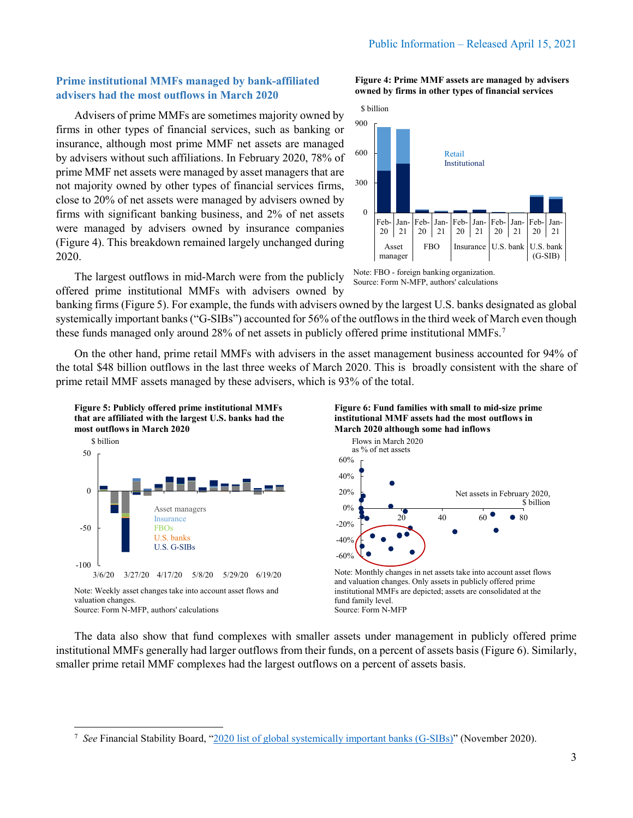# **Prime institutional MMFs managed by bank-affiliated advisers had the most outflows in March 2020**

Advisers of prime MMFs are sometimes majority owned by firms in other types of financial services, such as banking or insurance, although most prime MMF net assets are managed by advisers without such affiliations. In February 2020, 78% of prime MMF net assets were managed by asset managers that are not majority owned by other types of financial services firms, close to 20% of net assets were managed by advisers owned by firms with significant banking business, and 2% of net assets were managed by advisers owned by insurance companies (Figure 4). This breakdown remained largely unchanged during 2020. 300 600 900 \$ billion

The largest outflows in mid-March were from the publicly offered prime institutional MMFs with advisers owned by

banking firms (Figure 5). For example, the funds with advisers owned by the largest U.S. banks designated as global systemically important banks ("G-SIBs") accounted for 56% of the outflows in the third week of March even though these funds managed only around 28% of net assets in publicly offered prime institutional MMFs.<sup>[7](#page-2-0)</sup>

On the other hand, prime retail MMFs with advisers in the asset management business accounted for 94% of the total \$48 billion outflows in the last three weeks of March 2020. This is broadly consistent with the share of prime retail MMF assets managed by these advisers, which is 93% of the total.





valuation changes. Source: Form N-MFP, authors' calculations



Note: FBO - foreign banking organization. Source: Form N-MFP, authors' calculations



Note: Monthly changes in net assets take into account asset flows and valuation changes. Only assets in publicly offered prime institutional MMFs are depicted; assets are consolidated at the fund family level. Source: Form N-MFP

The data also show that fund complexes with smaller assets under management in publicly offered prime institutional MMFs generally had larger outflows from their funds, on a percent of assets basis (Figure 6). Similarly, smaller prime retail MMF complexes had the largest outflows on a percent of assets basis.

**Figure 4: Prime MMF assets are managed by advisers owned by firms in other types of financial services** 



<span id="page-2-0"></span><sup>&</sup>lt;sup>7</sup> See Financial Stability Board, ["2020 list of global systemically important banks \(G-SIBs\)"](https://www.fsb.org/wp-content/uploads/P111120.pdf) (November 2020).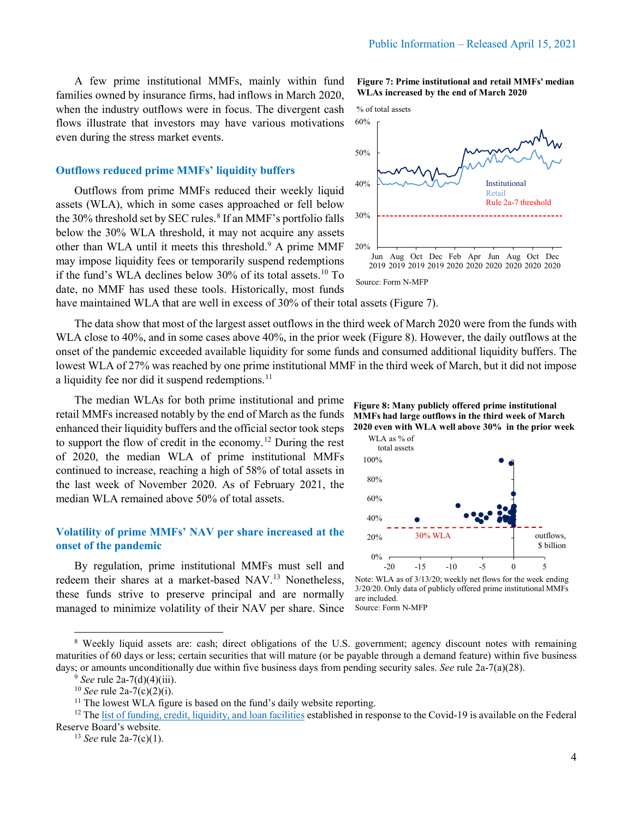A few prime institutional MMFs, mainly within fund families owned by insurance firms, had inflows in March 2020, when the industry outflows were in focus. The divergent cash flows illustrate that investors may have various motivations even during the stress market events.

### **Outflows reduced prime MMFs' liquidity buffers**

Outflows from prime MMFs reduced their weekly liquid assets (WLA), which in some cases approached or fell below the 30% threshold set by SEC rules.<sup>[8](#page-3-0)</sup> If an MMF's portfolio falls below the 30% WLA threshold, it may not acquire any assets other than WLA until it meets this threshold.<sup>[9](#page-3-1)</sup> A prime MMF may impose liquidity fees or temporarily suspend redemptions if the fund's WLA declines below  $30\%$  of its total assets.<sup>[10](#page-3-2)</sup> To date, no MMF has used these tools. Historically, most funds



**Figure 7: Prime institutional and retail MMFs' median** 



have maintained WLA that are well in excess of 30% of their total assets (Figure 7).

The data show that most of the largest asset outflows in the third week of March 2020 were from the funds with WLA close to 40%, and in some cases above 40%, in the prior week (Figure 8). However, the daily outflows at the onset of the pandemic exceeded available liquidity for some funds and consumed additional liquidity buffers. The lowest WLA of 27% was reached by one prime institutional MMF in the third week of March, but it did not impose a liquidity fee nor did it suspend redemptions.<sup>[11](#page-3-3)</sup>

The median WLAs for both prime institutional and prime retail MMFs increased notably by the end of March as the funds enhanced their liquidity buffers and the official sector took steps to support the flow of credit in the economy. [12](#page-3-4) During the rest of 2020, the median WLA of prime institutional MMFs continued to increase, reaching a high of 58% of total assets in the last week of November 2020. As of February 2021, the median WLA remained above 50% of total assets.

## **Volatility of prime MMFs' NAV per share increased at the onset of the pandemic**

By regulation, prime institutional MMFs must sell and redeem their shares at a market-based NAV.[13](#page-3-5) Nonetheless, these funds strive to preserve principal and are normally managed to minimize volatility of their NAV per share. Since





Note: WLA as of 3/13/20; weekly net flows for the week ending 3/20/20. Only data of publicly offered prime institutional MMFs are included. Source: Form N-MFP

<span id="page-3-1"></span><span id="page-3-0"></span><sup>8</sup> Weekly liquid assets are: cash; direct obligations of the U.S. government; agency discount notes with remaining maturities of 60 days or less; certain securities that will mature (or be payable through a demand feature) within five business days; or amounts unconditionally due within five business days from pending security sales. *See* rule 2a-7(a)(28). <sup>9</sup> *See* rule 2a-7(d)(4)(iii).

<sup>10</sup> *See* rule 2a-7(c)(2)(i).

 $11$  The lowest WLA figure is based on the fund's daily website reporting.

<span id="page-3-5"></span><span id="page-3-4"></span><span id="page-3-3"></span><span id="page-3-2"></span><sup>&</sup>lt;sup>12</sup> The <u>list of funding, credit, liquidity, and loan facilities</u> established in response to the Covid-19 is available on the Federal Reserve Board's website.

<sup>&</sup>lt;sup>13</sup> *See* rule 2a-7(c)(1).